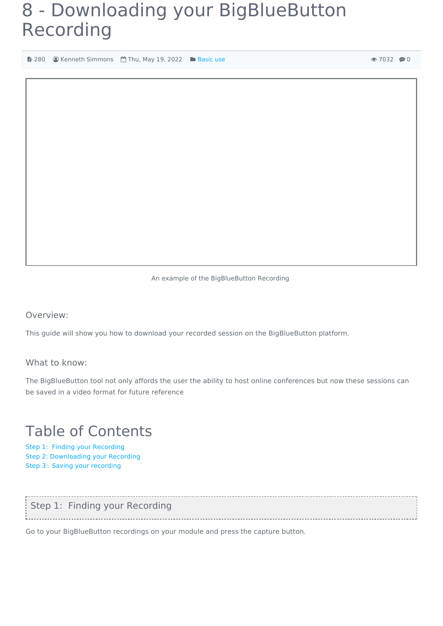## 8 - Downloading your BigBlueButton Recording

**■ 280 
■ Kenneth Simmons** ■ Thu, May 19, 2022 ■ [Basic](https://knowledgebase.xjtlu.edu.cn/category/bigbluebutton/guide-for-staff/basic-use/65/) use

An example of the BigBlueButton Recording

Overview:

This guide will show you how to download your recorded session on the BigBlueButton platform.

What to know:

The BigBlueButton tool not only affords the user the ability to host online conferences but now these sessions can be saved in a video format for future reference

## Table of Contents

Step 1: Finding your [Recording](#page-0-0) Step 2: [Downloading](#page-1-0) your Recording Step 3: Saving your [recording](#page-1-1)

<span id="page-0-0"></span>

| Step 1: Finding your Recording |  |
|--------------------------------|--|
|                                |  |
|                                |  |

Go to your BigBlueButton recordings on your module and press the capture button.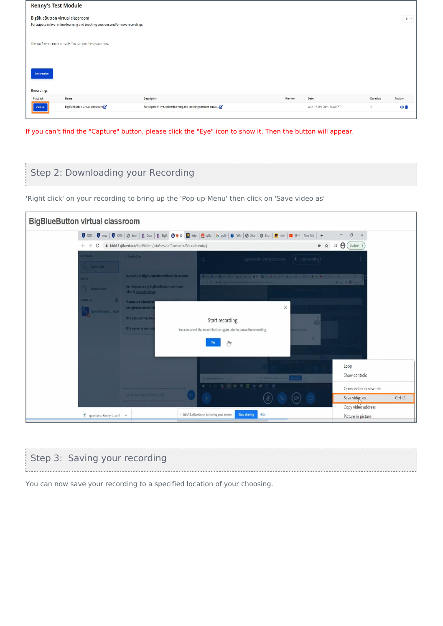| <b>Kenny's Test Module</b>             |                                                                                    |                                                                  |         |                             |          |                     |
|----------------------------------------|------------------------------------------------------------------------------------|------------------------------------------------------------------|---------|-----------------------------|----------|---------------------|
| <b>BigBlueButton virtual classroom</b> | Participate in live, online learning and teaching sessions and/or view recordings. |                                                                  |         |                             |          | $\Phi$ -            |
|                                        | This conference room is ready. You can join the session now.                       |                                                                  |         |                             |          |                     |
| Join session                           |                                                                                    |                                                                  |         |                             |          |                     |
| Recordings<br>Playback                 | Name                                                                               | Description                                                      | Preview | Date                        | Duration | Toolbar             |
| Capture                                | BigBlueButton virtual classroom                                                    | Participate in live, online learning and teaching sessions and/o |         | Wed, 17 Mar 2021, 14:48 CST |          | $\bullet$ $\bullet$ |

If you can't find the "Capture" button, please click the "Eye" icon to show it. Then the button will appear.

<span id="page-1-0"></span>

| Step 2: Downloading your Recording |  |
|------------------------------------|--|
|                                    |  |

'Right click' on your recording to bring up the 'Pop-up Menu' then click on 'Save video as'

| <b>BigBlueButton virtual classroom</b>         |                                                                                                                                                    |                                                                                                                                                                        |                                                                            |  |
|------------------------------------------------|----------------------------------------------------------------------------------------------------------------------------------------------------|------------------------------------------------------------------------------------------------------------------------------------------------------------------------|----------------------------------------------------------------------------|--|
|                                                |                                                                                                                                                    | <b>图 X/TL:   图 new   图 X/TL:   ④ Imol   白 Cou   白 BigB   D ® × 图 Exter   叠 xjtlu   G pyth   ● "Wic   ② X/ar   ④ Expc   <mark>W</mark> testr   ■ XP-F   New Tab   +</b> | $\Box$<br>X                                                                |  |
| $\leftarrow$ $\rightarrow$<br>C                | bbb13.xjtlu.edu.cn/html5client/join?sessionToken=mul5hcxxdmeotxpj<br>訂<br>■ ☆                                                                      |                                                                                                                                                                        |                                                                            |  |
| ESSAGES<br>Public Chat                         | < Public Chat                                                                                                                                      | $\mathcal{L}$<br>BigBlueButton virtual classroom (C) Start recording                                                                                                   |                                                                            |  |
| <b>OTES</b><br>Shared Notes<br><b>SERS (1)</b> | <b>Welcome to BigBlueButton virtual classroom!</b><br>For help on using BigBlueButton see these<br>(short) tutorial videos.<br>Please use a headse | VIII VIII VIII SA RETURNE VAN DIE SA PRODUCTION ON A RETURNED AND TRANSPORTED<br>C & thirt, chief contribution in New Commercial Commercial                            | $\bullet\quad \bullet\quad \text{if $\Theta$}\ (\text{iii)}$               |  |
| Kenneth Simm (You)                             | background noise f<br>This session may be<br>This server is runnin                                                                                 | X<br>Start recording<br>You can select the record button again later to pause the recording.<br>N.<br>Jhlp                                                             |                                                                            |  |
|                                                |                                                                                                                                                    | <b>estative Kambis L. and</b>                                                                                                                                          | Loop<br>Show controls                                                      |  |
|                                                | Send massage to Public Chat                                                                                                                        | B<br><b>D6</b>                                                                                                                                                         | Open video in new tab<br>$Ctrl + S$<br>Save video as<br>Copy video address |  |
| $\triangleq$ questions-Kenny txml $\wedge$     |                                                                                                                                                    | bbb13.xjtlu.edu.cn is sharing your screen.<br><b>Stop sharing</b><br>Hide                                                                                              | Picture in picture                                                         |  |

## <span id="page-1-1"></span>Step 3: Saving your recording

You can now save your recording to a specified location of your choosing.